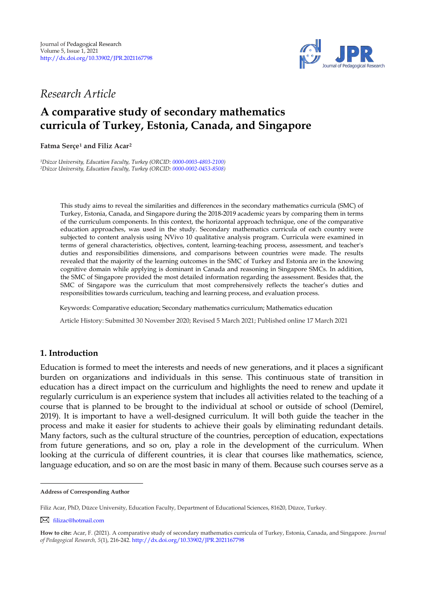

*Research Article* 

# **A comparative study of secondary mathematics curricula of Turkey, Estonia, Canada, and Singapore**

**Fatma Serçe<sup>1</sup> and Filiz Acar 2 1**

*<sup>1</sup>Düzce University, Education Faculty, Turkey (ORCID[: 0000-0003-4803-2100\)](http://www.orcid.org/0000-0003-4803-2100) <sup>2</sup>Düzce University, Education Faculty, Turkey (ORCID[: 0000-0002-0453-8508\)](https://orcid.org/0000-0002-0453-8508)*

> This study aims to reveal the similarities and differences in the secondary mathematics curricula (SMC) of Turkey, Estonia, Canada, and Singapore during the 2018-2019 academic years by comparing them in terms of the curriculum components. In this context, the horizontal approach technique, one of the comparative education approaches, was used in the study. Secondary mathematics curricula of each country were subjected to content analysis using NVivo 10 qualitative analysis program. Curricula were examined in terms of general characteristics, objectives, content, learning-teaching process, assessment, and teacher's duties and responsibilities dimensions, and comparisons between countries were made. The results revealed that the majority of the learning outcomes in the SMC of Turkey and Estonia are in the knowing cognitive domain while applying is dominant in Canada and reasoning in Singapore SMCs. In addition, the SMC of Singapore provided the most detailed information regarding the assessment. Besides that, the SMC of Singapore was the curriculum that most comprehensively reflects the teacher's duties and responsibilities towards curriculum, teaching and learning process, and evaluation process.

Keywords: Comparative education; Secondary mathematics curriculum; Mathematics education

Article History: Submitted 30 November 2020; Revised 5 March 2021; Published online 17 March 2021

## **1. Introduction**

Education is formed to meet the interests and needs of new generations, and it places a significant burden on organizations and individuals in this sense. This continuous state of transition in education has a direct impact on the curriculum and highlights the need to renew and update it regularly curriculum is an experience system that includes all activities related to the teaching of a course that is planned to be brought to the individual at school or outside of school (Demirel, 2019). It is important to have a well-designed curriculum. It will both guide the teacher in the process and make it easier for students to achieve their goals by eliminating redundant details. Many factors, such as the cultural structure of the countries, perception of education, expectations from future generations, and so on, play a role in the development of the curriculum. When looking at the curricula of different countries, it is clear that courses like mathematics, science, language education, and so on are the most basic in many of them. Because such courses serve as a

[filizac@hotmail.com](mailto:filizac@hotmail.com)

**Address of Corresponding Author**

Filiz Acar, PhD, Düzce University, Education Faculty, Department of Educational Sciences, 81620, Düzce, Turkey.

**How to cite:** Acar, F. (2021). A comparative study of secondary mathematics curricula of Turkey, Estonia, Canada, and Singapore. *Journal of Pedagogical Research, 5*(1), 216-242. <http://dx.doi.org/10.33902/JPR.2021167798>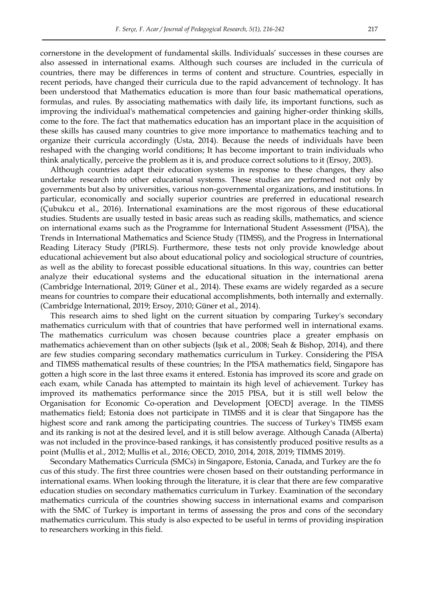cornerstone in the development of fundamental skills. Individuals" successes in these courses are also assessed in international exams. Although such courses are included in the curricula of countries, there may be differences in terms of content and structure. Countries, especially in recent periods, have changed their curricula due to the rapid advancement of technology. It has been understood that Mathematics education is more than four basic mathematical operations, formulas, and rules. By associating mathematics with daily life, its important functions, such as improving the individual's mathematical competencies and gaining higher-order thinking skills, come to the fore. The fact that mathematics education has an important place in the acquisition of these skills has caused many countries to give more importance to mathematics teaching and to organize their curricula accordingly (Usta, 2014). Because the needs of individuals have been reshaped with the changing world conditions; It has become important to train individuals who think analytically, perceive the problem as it is, and produce correct solutions to it (Ersoy, 2003).

Although countries adapt their education systems in response to these changes, they also undertake research into other educational systems. These studies are performed not only by governments but also by universities, various non-governmental organizations, and institutions. In particular, economically and socially superior countries are preferred in educational research (Çubukcu et al., 2016). International examinations are the most rigorous of these educational studies. Students are usually tested in basic areas such as reading skills, mathematics, and science on international exams such as the Programme for International Student Assessment (PISA), the Trends in International Mathematics and Science Study (TIMSS), and the Progress in International Reading Literacy Study (PIRLS). Furthermore, these tests not only provide knowledge about educational achievement but also about educational policy and sociological structure of countries, as well as the ability to forecast possible educational situations. In this way, countries can better analyze their educational systems and the educational situation in the international arena (Cambridge International, 2019; Güner et al., 2014). These exams are widely regarded as a secure means for countries to compare their educational accomplishments, both internally and externally. (Cambridge International, 2019; Ersoy, 2010; Güner et al., 2014).

This research aims to shed light on the current situation by comparing Turkey's secondary mathematics curriculum with that of countries that have performed well in international exams. The mathematics curriculum was chosen because countries place a greater emphasis on mathematics achievement than on other subjects (Işık et al., 2008; Seah & Bishop, 2014), and there are few studies comparing secondary mathematics curriculum in Turkey. Considering the PISA and TIMSS mathematical results of these countries; In the PISA mathematics field, Singapore has gotten a high score in the last three exams it entered. Estonia has improved its score and grade on each exam, while Canada has attempted to maintain its high level of achievement. Turkey has improved its mathematics performance since the 2015 PISA, but it is still well below the Organisation for Economic Co-operation and Development [OECD] average. In the TIMSS mathematics field; Estonia does not participate in TIMSS and it is clear that Singapore has the highest score and rank among the participating countries. The success of Turkey's TIMSS exam and its ranking is not at the desired level, and it is still below average. Although Canada (Alberta) was not included in the province-based rankings, it has consistently produced positive results as a point (Mullis et al., 2012; Mullis et al., 2016; OECD, 2010, 2014, 2018, 2019; TIMMS 2019).

Secondary Mathematics Curricula (SMCs) in Singapore, Estonia, Canada, and Turkey are the fo cus of this study. The first three countries were chosen based on their outstanding performance in international exams. When looking through the literature, it is clear that there are few comparative education studies on secondary mathematics curriculum in Turkey. Examination of the secondary mathematics curricula of the countries showing success in international exams and comparison with the SMC of Turkey is important in terms of assessing the pros and cons of the secondary mathematics curriculum. This study is also expected to be useful in terms of providing inspiration to researchers working in this field.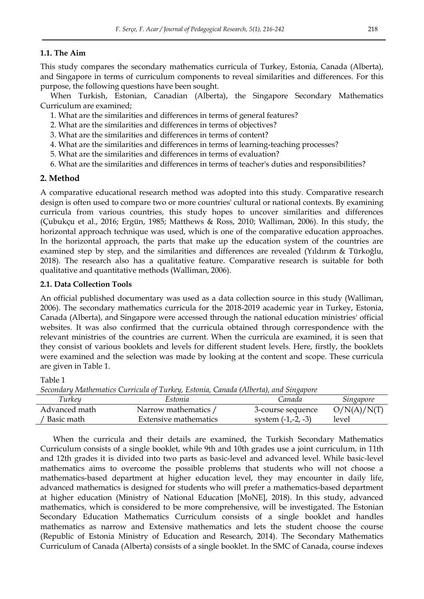## **1.1. The Aim**

This study compares the secondary mathematics curricula of Turkey, Estonia, Canada (Alberta), and Singapore in terms of curriculum components to reveal similarities and differences. For this purpose, the following questions have been sought.

When Turkish, Estonian, Canadian (Alberta), the Singapore Secondary Mathematics Curriculum are examined;

- 1. What are the similarities and differences in terms of general features?
- 2. What are the similarities and differences in terms of objectives?
- 3. What are the similarities and differences in terms of content?
- 4. What are the similarities and differences in terms of learning-teaching processes?
- 5. What are the similarities and differences in terms of evaluation?
- 6. What are the similarities and differences in terms of teacher's duties and responsibilities?

## **2. Method**

A comparative educational research method was adopted into this study. Comparative research design is often used to compare two or more countries' cultural or national contexts. By examining curricula from various countries, this study hopes to uncover similarities and differences (Çubukçu et al., 2016; Ergün, 1985; Matthews & Ross, 2010; Walliman, 2006). In this study, the horizontal approach technique was used, which is one of the comparative education approaches. In the horizontal approach, the parts that make up the education system of the countries are examined step by step, and the similarities and differences are revealed (Yıldırım & Türkoğlu, 2018). The research also has a qualitative feature. Comparative research is suitable for both qualitative and quantitative methods (Walliman, 2006).

## **2.1. Data Collection Tools**

An official published documentary was used as a data collection source in this study (Walliman, 2006). The secondary mathematics curricula for the 2018-2019 academic year in Turkey, Estonia, Canada (Alberta), and Singapore were accessed through the national education ministries' official websites. It was also confirmed that the curricula obtained through correspondence with the relevant ministries of the countries are current. When the curricula are examined, it is seen that they consist of various booklets and levels for different student levels. Here, firstly, the booklets were examined and the selection was made by looking at the content and scope. These curricula are given in Table 1.

Table 1

*Secondary Mathematics Curricula of Turkey, Estonia, Canada (Alberta), and Singapore* 

| Turkey        | Estonia               | Canada              | Singapore   |
|---------------|-----------------------|---------------------|-------------|
| Advanced math | Narrow mathematics    | 3-course sequence   | O/N(A)/N(T) |
| Basic math    | Extensive mathematics | system $(-1,-2,-3)$ | level       |

When the curricula and their details are examined, the Turkish Secondary Mathematics Curriculum consists of a single booklet, while 9th and 10th grades use a joint curriculum, in 11th and 12th grades it is divided into two parts as basic-level and advanced level. While basic-level mathematics aims to overcome the possible problems that students who will not choose a mathematics-based department at higher education level, they may encounter in daily life, advanced mathematics is designed for students who will prefer a mathematics-based department at higher education (Ministry of National Education [MoNE], 2018). In this study, advanced mathematics, which is considered to be more comprehensive, will be investigated. The Estonian Secondary Education Mathematics Curriculum consists of a single booklet and handles mathematics as narrow and Extensive mathematics and lets the student choose the course (Republic of Estonia Ministry of Education and Research, 2014). The Secondary Mathematics Curriculum of Canada (Alberta) consists of a single booklet. In the SMC of Canada, course indexes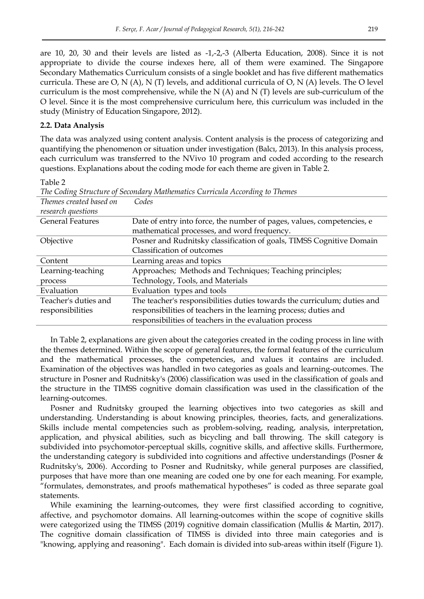are 10, 20, 30 and their levels are listed as -1,-2,-3 (Alberta Education, 2008). Since it is not appropriate to divide the course indexes here, all of them were examined. The Singapore Secondary Mathematics Curriculum consists of a single booklet and has five different mathematics curricula. These are O, N (A), N (T) levels, and additional curricula of O, N (A) levels. The O level curriculum is the most comprehensive, while the  $N(A)$  and  $N(T)$  levels are sub-curriculum of the O level. Since it is the most comprehensive curriculum here, this curriculum was included in the study (Ministry of Education Singapore, 2012).

#### **2.2. Data Analysis**

The data was analyzed using content analysis. Content analysis is the process of categorizing and quantifying the phenomenon or situation under investigation (Balcı, 2013). In this analysis process, each curriculum was transferred to the NVivo 10 program and coded according to the research questions. Explanations about the coding mode for each theme are given in Table 2.

Table 2

|                         | The County Structure of Secondary Ividinematics Carriedia According to Themes |
|-------------------------|-------------------------------------------------------------------------------|
| Themes created based on | Codes                                                                         |
| research questions      |                                                                               |
| <b>General Features</b> | Date of entry into force, the number of pages, values, competencies, e        |
|                         | mathematical processes, and word frequency.                                   |
| Objective               | Posner and Rudnitsky classification of goals, TIMSS Cognitive Domain          |
|                         | Classification of outcomes                                                    |
| Content                 | Learning areas and topics                                                     |
| Learning-teaching       | Approaches; Methods and Techniques; Teaching principles;                      |
| process                 | Technology, Tools, and Materials                                              |
| Evaluation              | Evaluation types and tools                                                    |
| Teacher's duties and    | The teacher's responsibilities duties towards the curriculum; duties and      |
| responsibilities        | responsibilities of teachers in the learning process; duties and              |
|                         | responsibilities of teachers in the evaluation process                        |

*The Coding Structure of Secondary Mathematics Curricula According to Themes* 

In Table 2, explanations are given about the categories created in the coding process in line with the themes determined. Within the scope of general features, the formal features of the curriculum and the mathematical processes, the competencies, and values it contains are included. Examination of the objectives was handled in two categories as goals and learning-outcomes. The structure in Posner and Rudnitsky's (2006) classification was used in the classification of goals and the structure in the TIMSS cognitive domain classification was used in the classification of the learning-outcomes.

Posner and Rudnitsky grouped the learning objectives into two categories as skill and understanding. Understanding is about knowing principles, theories, facts, and generalizations. Skills include mental competencies such as problem-solving, reading, analysis, interpretation, application, and physical abilities, such as bicycling and ball throwing. The skill category is subdivided into psychomotor-perceptual skills, cognitive skills, and affective skills. Furthermore, the understanding category is subdivided into cognitions and affective understandings (Posner & Rudnitsky's, 2006). According to Posner and Rudnitsky, while general purposes are classified, purposes that have more than one meaning are coded one by one for each meaning. For example, "formulates, demonstrates, and proofs mathematical hypotheses" is coded as three separate goal statements.

While examining the learning-outcomes, they were first classified according to cognitive, affective, and psychomotor domains. All learning-outcomes within the scope of cognitive skills were categorized using the TIMSS (2019) cognitive domain classification (Mullis & Martin, 2017). The cognitive domain classification of TIMSS is divided into three main categories and is "knowing, applying and reasoning". Each domain is divided into sub-areas within itself (Figure 1).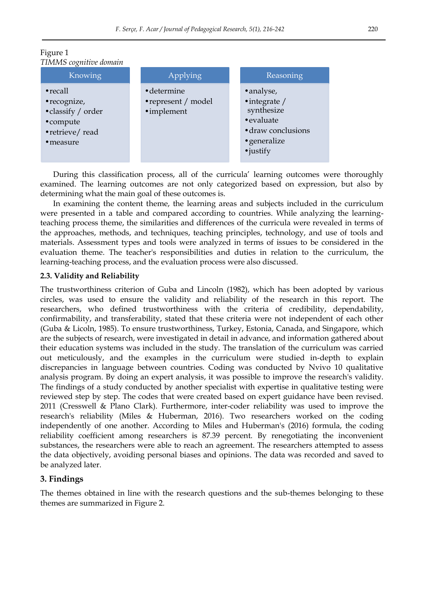

## Figure 1 *TIMMS cognitive domain*

During this classification process, all of the curricula' learning outcomes were thoroughly examined. The learning outcomes are not only categorized based on expression, but also by determining what the main goal of these outcomes is.

In examining the content theme, the learning areas and subjects included in the curriculum were presented in a table and compared according to countries. While analyzing the learningteaching process theme, the similarities and differences of the curricula were revealed in terms of the approaches, methods, and techniques, teaching principles, technology, and use of tools and materials. Assessment types and tools were analyzed in terms of issues to be considered in the evaluation theme. The teacher's responsibilities and duties in relation to the curriculum, the learning-teaching process, and the evaluation process were also discussed.

## **2.3. Validity and Reliability**

The trustworthiness criterion of Guba and Lincoln (1982), which has been adopted by various circles, was used to ensure the validity and reliability of the research in this report. The researchers, who defined trustworthiness with the criteria of credibility, dependability, confirmability, and transferability, stated that these criteria were not independent of each other (Guba & Licoln, 1985). To ensure trustworthiness, Turkey, Estonia, Canada, and Singapore, which are the subjects of research, were investigated in detail in advance, and information gathered about their education systems was included in the study. The translation of the curriculum was carried out meticulously, and the examples in the curriculum were studied in-depth to explain discrepancies in language between countries. Coding was conducted by Nvivo 10 qualitative analysis program. By doing an expert analysis, it was possible to improve the research's validity. The findings of a study conducted by another specialist with expertise in qualitative testing were reviewed step by step. The codes that were created based on expert guidance have been revised. 2011 (Cresswell & Plano Clark). Furthermore, inter-coder reliability was used to improve the research's reliability (Miles & Huberman, 2016). Two researchers worked on the coding independently of one another. According to Miles and Huberman's (2016) formula, the coding reliability coefficient among researchers is 87.39 percent. By renegotiating the inconvenient substances, the researchers were able to reach an agreement. The researchers attempted to assess the data objectively, avoiding personal biases and opinions. The data was recorded and saved to be analyzed later.

## **3. Findings**

The themes obtained in line with the research questions and the sub-themes belonging to these themes are summarized in Figure 2.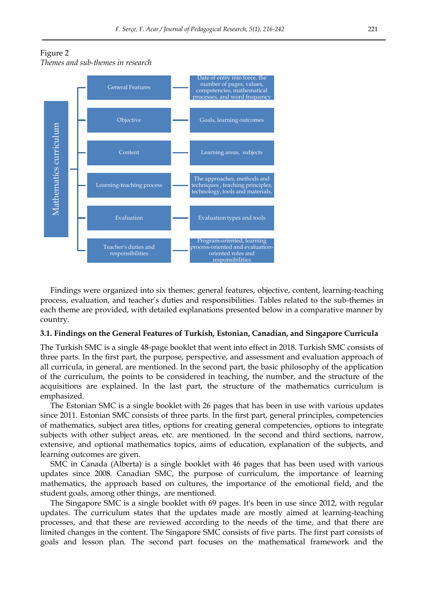



Findings were organized into six themes: general features, objective, content, learning-teaching process, evaluation, and teacher"s duties and responsibilities. Tables related to the sub-themes in each theme are provided, with detailed explanations presented below in a comparative manner by country.

#### **3.1. Findings on the General Features of Turkish, Estonian, Canadian, and Singapore Curricula**

The Turkish SMC is a single 48-page booklet that went into effect in 2018. Turkish SMC consists of three parts. In the first part, the purpose, perspective, and assessment and evaluation approach of all curricula, in general, are mentioned. In the second part, the basic philosophy of the application of the curriculum, the points to be considered in teaching, the number, and the structure of the acquisitions are explained. In the last part, the structure of the mathematics curriculum is emphasized.

The Estonian SMC is a single booklet with 26 pages that has been in use with various updates since 2011. Estonian SMC consists of three parts. In the first part, general principles, competencies of mathematics, subject area titles, options for creating general competencies, options to integrate subjects with other subject areas, etc. are mentioned. In the second and third sections, narrow, extensive, and optional mathematics topics, aims of education, explanation of the subjects, and learning outcomes are given.

SMC in Canada (Alberta) is a single booklet with 46 pages that has been used with various updates since 2008. Canadian SMC, the purpose of curriculum, the importance of learning mathematics, the approach based on cultures, the importance of the emotional field, and the student goals, among other things, are mentioned.

The Singapore SMC is a single booklet with 69 pages. It's been in use since 2012, with regular updates. The curriculum states that the updates made are mostly aimed at learning-teaching processes, and that these are reviewed according to the needs of the time, and that there are limited changes in the content. The Singapore SMC consists of five parts. The first part consists of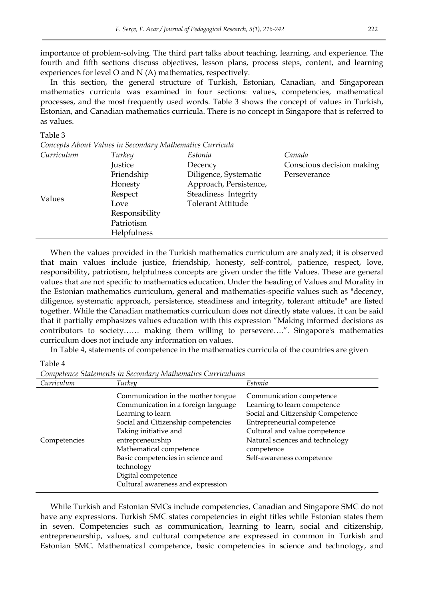importance of problem-solving. The third part talks about teaching, learning, and experience. The fourth and fifth sections discuss objectives, lesson plans, process steps, content, and learning experiences for level O and N (A) mathematics, respectively.

In this section, the general structure of Turkish, Estonian, Canadian, and Singaporean mathematics curricula was examined in four sections: values, competencies, mathematical processes, and the most frequently used words. Table 3 shows the concept of values in Turkish, Estonian, and Canadian mathematics curricula. There is no concept in Singapore that is referred to as values.

#### Table 3

| Curriculum | Turkey         | Estonia                  | Canada                    |
|------------|----------------|--------------------------|---------------------------|
|            | Justice        | Decency                  | Conscious decision making |
|            | Friendship     | Diligence, Systematic    | Perseverance              |
|            | Honesty        | Approach, Persistence,   |                           |
| Values     | Respect        | Steadiness Integrity     |                           |
|            | Love           | <b>Tolerant Attitude</b> |                           |
|            | Responsibility |                          |                           |
|            | Patriotism     |                          |                           |
|            | Helpfulness    |                          |                           |

*Concepts About Values in Secondary Mathematics Curricula* 

When the values provided in the Turkish mathematics curriculum are analyzed; it is observed that main values include justice, friendship, honesty, self-control, patience, respect, love, responsibility, patriotism, helpfulness concepts are given under the title Values. These are general values that are not specific to mathematics education. Under the heading of Values and Morality in the Estonian mathematics curriculum, general and mathematics-specific values such as "decency, diligence, systematic approach, persistence, steadiness and integrity, tolerant attitude" are listed together. While the Canadian mathematics curriculum does not directly state values, it can be said that it partially emphasizes values education with this expression "Making informed decisions as contributors to society…… making them willing to persevere….". Singapore's mathematics curriculum does not include any information on values.

In Table 4, statements of competence in the mathematics curricula of the countries are given

Table 4

| Curriculum   | Turkey                                                                                                                                                                                                                                                                                                                      | Estonia                                                                                                                                                                                                                                    |
|--------------|-----------------------------------------------------------------------------------------------------------------------------------------------------------------------------------------------------------------------------------------------------------------------------------------------------------------------------|--------------------------------------------------------------------------------------------------------------------------------------------------------------------------------------------------------------------------------------------|
| Competencies | Communication in the mother tongue<br>Communication in a foreign language<br>Learning to learn<br>Social and Citizenship competencies<br>Taking initiative and<br>entrepreneurship<br>Mathematical competence<br>Basic competencies in science and<br>technology<br>Digital competence<br>Cultural awareness and expression | Communication competence<br>Learning to learn competence<br>Social and Citizenship Competence<br>Entrepreneurial competence<br>Cultural and value competence<br>Natural sciences and technology<br>competence<br>Self-awareness competence |

*Competence Statements in Secondary Mathematics Curriculums* 

While Turkish and Estonian SMCs include competencies, Canadian and Singapore SMC do not have any expressions. Turkish SMC states competencies in eight titles while Estonian states them in seven. Competencies such as communication, learning to learn, social and citizenship, entrepreneurship, values, and cultural competence are expressed in common in Turkish and Estonian SMC. Mathematical competence, basic competencies in science and technology, and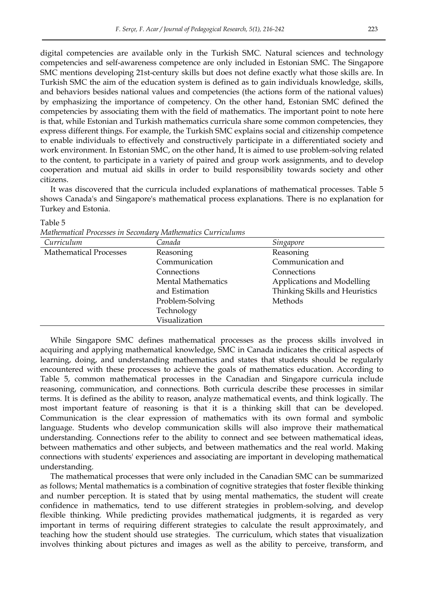digital competencies are available only in the Turkish SMC. Natural sciences and technology competencies and self-awareness competence are only included in Estonian SMC. The Singapore SMC mentions developing 21st-century skills but does not define exactly what those skills are. In Turkish SMC the aim of the education system is defined as to gain individuals knowledge, skills, and behaviors besides national values and competencies (the actions form of the national values) by emphasizing the importance of competency. On the other hand, Estonian SMC defined the competencies by associating them with the field of mathematics. The important point to note here is that, while Estonian and Turkish mathematics curricula share some common competencies, they express different things. For example, the Turkish SMC explains social and citizenship competence to enable individuals to effectively and constructively participate in a differentiated society and work environment. In Estonian SMC, on the other hand, It is aimed to use problem-solving related to the content, to participate in a variety of paired and group work assignments, and to develop cooperation and mutual aid skills in order to build responsibility towards society and other citizens.

It was discovered that the curricula included explanations of mathematical processes. Table 5 shows Canada's and Singapore's mathematical process explanations. There is no explanation for Turkey and Estonia.

| Curriculum                    | Canada                    | Singapore                      |
|-------------------------------|---------------------------|--------------------------------|
| <b>Mathematical Processes</b> | Reasoning                 | Reasoning                      |
|                               | Communication             | Communication and              |
|                               | Connections               | Connections                    |
|                               | <b>Mental Mathematics</b> | Applications and Modelling     |
|                               | and Estimation            | Thinking Skills and Heuristics |
|                               | Problem-Solving           | Methods                        |
|                               | Technology                |                                |
|                               | Visualization             |                                |

Table 5

| Mathematical Processes in Secondary Mathematics Curriculums |  |  |  |
|-------------------------------------------------------------|--|--|--|
|-------------------------------------------------------------|--|--|--|

While Singapore SMC defines mathematical processes as the process skills involved in acquiring and applying mathematical knowledge, SMC in Canada indicates the critical aspects of learning, doing, and understanding mathematics and states that students should be regularly encountered with these processes to achieve the goals of mathematics education. According to Table 5, common mathematical processes in the Canadian and Singapore curricula include reasoning, communication, and connections. Both curricula describe these processes in similar terms. It is defined as the ability to reason, analyze mathematical events, and think logically. The most important feature of reasoning is that it is a thinking skill that can be developed. Communication is the clear expression of mathematics with its own formal and symbolic language. Students who develop communication skills will also improve their mathematical understanding. Connections refer to the ability to connect and see between mathematical ideas, between mathematics and other subjects, and between mathematics and the real world. Making connections with students' experiences and associating are important in developing mathematical understanding.

The mathematical processes that were only included in the Canadian SMC can be summarized as follows; Mental mathematics is a combination of cognitive strategies that foster flexible thinking and number perception. It is stated that by using mental mathematics, the student will create confidence in mathematics, tend to use different strategies in problem-solving, and develop flexible thinking. While predicting provides mathematical judgments, it is regarded as very important in terms of requiring different strategies to calculate the result approximately, and teaching how the student should use strategies. The curriculum, which states that visualization involves thinking about pictures and images as well as the ability to perceive, transform, and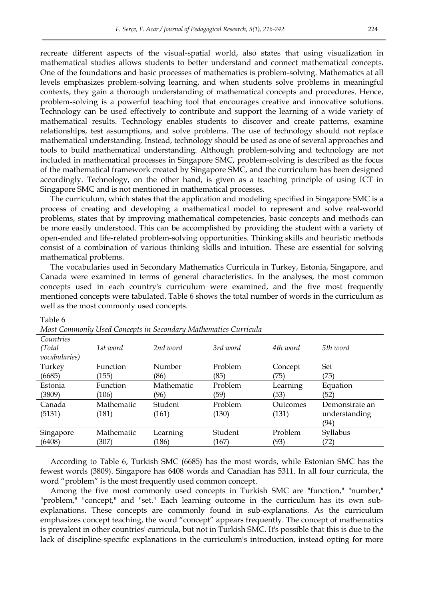recreate different aspects of the visual-spatial world, also states that using visualization in mathematical studies allows students to better understand and connect mathematical concepts. One of the foundations and basic processes of mathematics is problem-solving. Mathematics at all levels emphasizes problem-solving learning, and when students solve problems in meaningful contexts, they gain a thorough understanding of mathematical concepts and procedures. Hence, problem-solving is a powerful teaching tool that encourages creative and innovative solutions. Technology can be used effectively to contribute and support the learning of a wide variety of mathematical results. Technology enables students to discover and create patterns, examine relationships, test assumptions, and solve problems. The use of technology should not replace mathematical understanding. Instead, technology should be used as one of several approaches and tools to build mathematical understanding. Although problem-solving and technology are not included in mathematical processes in Singapore SMC, problem-solving is described as the focus of the mathematical framework created by Singapore SMC, and the curriculum has been designed accordingly. Technology, on the other hand, is given as a teaching principle of using ICT in Singapore SMC and is not mentioned in mathematical processes.

The curriculum, which states that the application and modeling specified in Singapore SMC is a process of creating and developing a mathematical model to represent and solve real-world problems, states that by improving mathematical competencies, basic concepts and methods can be more easily understood. This can be accomplished by providing the student with a variety of open-ended and life-related problem-solving opportunities. Thinking skills and heuristic methods consist of a combination of various thinking skills and intuition. These are essential for solving mathematical problems.

The vocabularies used in Secondary Mathematics Curricula in Turkey, Estonia, Singapore, and Canada were examined in terms of general characteristics. In the analyses, the most common concepts used in each country's curriculum were examined, and the five most frequently mentioned concepts were tabulated. Table 6 shows the total number of words in the curriculum as well as the most commonly used concepts.

| Countries<br>(Total) | 1st word        | 2nd word   | 3rd word | 4th word | 5th word       |
|----------------------|-----------------|------------|----------|----------|----------------|
| vocabularies)        |                 |            |          |          |                |
| Turkey               | <b>Function</b> | Number     | Problem  | Concept  | Set            |
| (6685)               | (155)           | (86)       | (85)     | (75)     | (75)           |
| Estonia              | <b>Function</b> | Mathematic | Problem  | Learning | Equation       |
| (3809)               | (106)           | (96)       | (59)     | (53)     | (52)           |
| Canada               | Mathematic      | Student    | Problem  | Outcomes | Demonstrate an |
| (5131)               | (181)           | (161)      | (130)    | (131)    | understanding  |
|                      |                 |            |          |          | (94)           |
| Singapore            | Mathematic      | Learning   | Student  | Problem  | Syllabus       |
| (6408)               | (307)           | (186)      | (167)    | (93)     | (72)           |

#### Table 6

*Most Commonly Used Concepts in Secondary Mathematics Curricula* 

According to Table 6, Turkish SMC (6685) has the most words, while Estonian SMC has the fewest words (3809). Singapore has 6408 words and Canadian has 5311. In all four curricula, the word "problem" is the most frequently used common concept.

Among the five most commonly used concepts in Turkish SMC are "function," "number," "problem," "concept," and "set." Each learning outcome in the curriculum has its own subexplanations. These concepts are commonly found in sub-explanations. As the curriculum emphasizes concept teaching, the word "concept" appears frequently. The concept of mathematics is prevalent in other countries' curricula, but not in Turkish SMC. It's possible that this is due to the lack of discipline-specific explanations in the curriculum's introduction, instead opting for more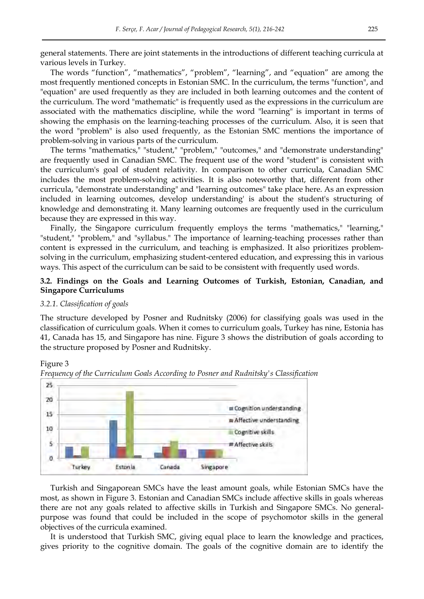general statements. There are joint statements in the introductions of different teaching curricula at various levels in Turkey.

The words "function", "mathematics", "problem", "learning", and "equation" are among the most frequently mentioned concepts in Estonian SMC. In the curriculum, the terms "function", and "equation" are used frequently as they are included in both learning outcomes and the content of the curriculum. The word "mathematic" is frequently used as the expressions in the curriculum are associated with the mathematics discipline, while the word "learning" is important in terms of showing the emphasis on the learning-teaching processes of the curriculum. Also, it is seen that the word "problem" is also used frequently, as the Estonian SMC mentions the importance of problem-solving in various parts of the curriculum.

The terms "mathematics," "student," "problem," "outcomes," and "demonstrate understanding" are frequently used in Canadian SMC. The frequent use of the word "student" is consistent with the curriculum's goal of student relativity. In comparison to other curricula, Canadian SMC includes the most problem-solving activities. It is also noteworthy that, different from other curricula, "demonstrate understanding" and "learning outcomes" take place here. As an expression included in learning outcomes, develop understanding' is about the student's structuring of knowledge and demonstrating it. Many learning outcomes are frequently used in the curriculum because they are expressed in this way.

Finally, the Singapore curriculum frequently employs the terms "mathematics," "learning," "student," "problem," and "syllabus." The importance of learning-teaching processes rather than content is expressed in the curriculum, and teaching is emphasized. It also prioritizes problemsolving in the curriculum, emphasizing student-centered education, and expressing this in various ways. This aspect of the curriculum can be said to be consistent with frequently used words.

## **3.2. Findings on the Goals and Learning Outcomes of Turkish, Estonian, Canadian, and Singapore Curriculums**

#### *3.2.1. Classification of goals*

The structure developed by Posner and Rudnitsky (2006) for classifying goals was used in the classification of curriculum goals. When it comes to curriculum goals, Turkey has nine, Estonia has 41, Canada has 15, and Singapore has nine. Figure 3 shows the distribution of goals according to the structure proposed by Posner and Rudnitsky.

#### Figure 3



*Frequency of the Curriculum Goals According to Posner and Rudnitsky's Classification* 

Turkish and Singaporean SMCs have the least amount goals, while Estonian SMCs have the most, as shown in Figure 3. Estonian and Canadian SMCs include affective skills in goals whereas there are not any goals related to affective skills in Turkish and Singapore SMCs. No generalpurpose was found that could be included in the scope of psychomotor skills in the general objectives of the curricula examined.

It is understood that Turkish SMC, giving equal place to learn the knowledge and practices, gives priority to the cognitive domain. The goals of the cognitive domain are to identify the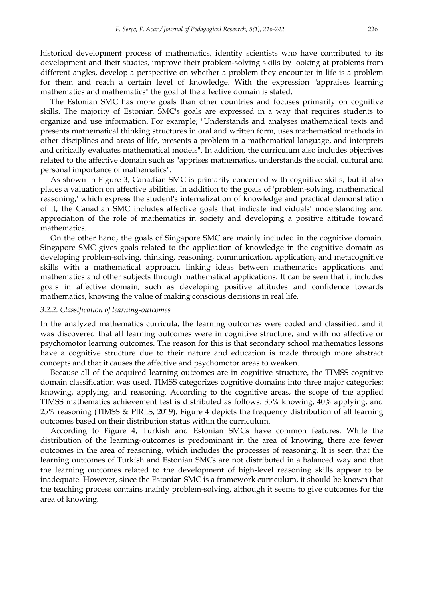historical development process of mathematics, identify scientists who have contributed to its development and their studies, improve their problem-solving skills by looking at problems from different angles, develop a perspective on whether a problem they encounter in life is a problem for them and reach a certain level of knowledge. With the expression "appraises learning mathematics and mathematics" the goal of the affective domain is stated.

The Estonian SMC has more goals than other countries and focuses primarily on cognitive skills. The majority of Estonian SMC's goals are expressed in a way that requires students to organize and use information. For example; "Understands and analyses mathematical texts and presents mathematical thinking structures in oral and written form, uses mathematical methods in other disciplines and areas of life, presents a problem in a mathematical language, and interprets and critically evaluates mathematical models". In addition, the curriculum also includes objectives related to the affective domain such as "apprises mathematics, understands the social, cultural and personal importance of mathematics".

As shown in Figure 3, Canadian SMC is primarily concerned with cognitive skills, but it also places a valuation on affective abilities. In addition to the goals of 'problem-solving, mathematical reasoning,' which express the student's internalization of knowledge and practical demonstration of it, the Canadian SMC includes affective goals that indicate individuals' understanding and appreciation of the role of mathematics in society and developing a positive attitude toward mathematics.

On the other hand, the goals of Singapore SMC are mainly included in the cognitive domain. Singapore SMC gives goals related to the application of knowledge in the cognitive domain as developing problem-solving, thinking, reasoning, communication, application, and metacognitive skills with a mathematical approach, linking ideas between mathematics applications and mathematics and other subjects through mathematical applications. It can be seen that it includes goals in affective domain, such as developing positive attitudes and confidence towards mathematics, knowing the value of making conscious decisions in real life.

#### *3.2.2. Classification of learning-outcomes*

In the analyzed mathematics curricula, the learning outcomes were coded and classified, and it was discovered that all learning outcomes were in cognitive structure, and with no affective or psychomotor learning outcomes. The reason for this is that secondary school mathematics lessons have a cognitive structure due to their nature and education is made through more abstract concepts and that it causes the affective and psychomotor areas to weaken.

Because all of the acquired learning outcomes are in cognitive structure, the TIMSS cognitive domain classification was used. TIMSS categorizes cognitive domains into three major categories: knowing, applying, and reasoning. According to the cognitive areas, the scope of the applied TIMSS mathematics achievement test is distributed as follows: 35% knowing, 40% applying, and 25% reasoning (TIMSS & PIRLS, 2019). Figure 4 depicts the frequency distribution of all learning outcomes based on their distribution status within the curriculum.

According to Figure 4, Turkish and Estonian SMCs have common features. While the distribution of the learning-outcomes is predominant in the area of knowing, there are fewer outcomes in the area of reasoning, which includes the processes of reasoning. It is seen that the learning outcomes of Turkish and Estonian SMCs are not distributed in a balanced way and that the learning outcomes related to the development of high-level reasoning skills appear to be inadequate. However, since the Estonian SMC is a framework curriculum, it should be known that the teaching process contains mainly problem-solving, although it seems to give outcomes for the area of knowing.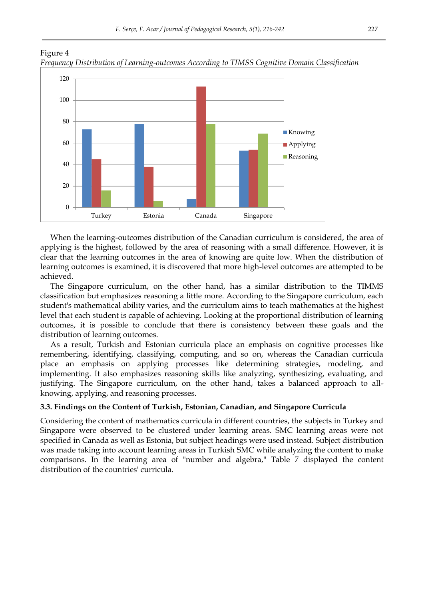

Figure 4 *Frequency Distribution of Learning-outcomes According to TIMSS Cognitive Domain Classification* 

When the learning-outcomes distribution of the Canadian curriculum is considered, the area of applying is the highest, followed by the area of reasoning with a small difference. However, it is clear that the learning outcomes in the area of knowing are quite low. When the distribution of learning outcomes is examined, it is discovered that more high-level outcomes are attempted to be achieved.

The Singapore curriculum, on the other hand, has a similar distribution to the TIMMS classification but emphasizes reasoning a little more. According to the Singapore curriculum, each student's mathematical ability varies, and the curriculum aims to teach mathematics at the highest level that each student is capable of achieving. Looking at the proportional distribution of learning outcomes, it is possible to conclude that there is consistency between these goals and the distribution of learning outcomes.

As a result, Turkish and Estonian curricula place an emphasis on cognitive processes like remembering, identifying, classifying, computing, and so on, whereas the Canadian curricula place an emphasis on applying processes like determining strategies, modeling, and implementing. It also emphasizes reasoning skills like analyzing, synthesizing, evaluating, and justifying. The Singapore curriculum, on the other hand, takes a balanced approach to allknowing, applying, and reasoning processes.

#### **3.3. Findings on the Content of Turkish, Estonian, Canadian, and Singapore Curricula**

Considering the content of mathematics curricula in different countries, the subjects in Turkey and Singapore were observed to be clustered under learning areas. SMC learning areas were not specified in Canada as well as Estonia, but subject headings were used instead. Subject distribution was made taking into account learning areas in Turkish SMC while analyzing the content to make comparisons. In the learning area of "number and algebra," Table 7 displayed the content distribution of the countries' curricula.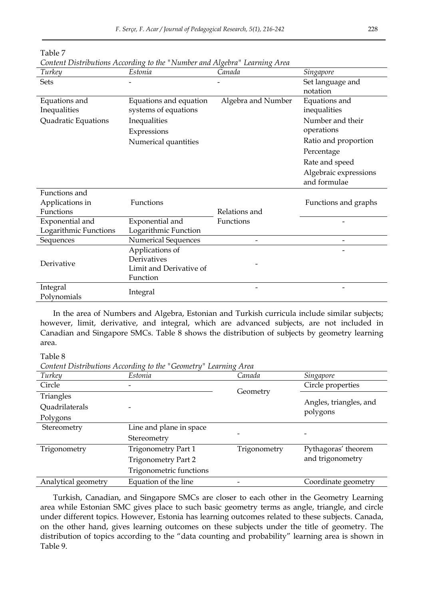| Turkey                  | $\circ$<br>Estonia         | $\circ$<br>O<br>Canada | Singapore             |
|-------------------------|----------------------------|------------------------|-----------------------|
| Sets                    |                            |                        | Set language and      |
|                         |                            |                        | notation              |
| Equations and           | Equations and equation     | Algebra and Number     | Equations and         |
| Inequalities            | systems of equations       |                        | inequalities          |
| Quadratic Equations     | Inequalities               |                        | Number and their      |
|                         | Expressions                |                        | operations            |
|                         | Numerical quantities       |                        | Ratio and proportion  |
|                         |                            |                        | Percentage            |
|                         |                            |                        | Rate and speed        |
|                         |                            |                        | Algebraic expressions |
|                         |                            |                        | and formulae          |
| Functions and           |                            |                        |                       |
| Applications in         | Functions                  |                        | Functions and graphs  |
| Functions               |                            | Relations and          |                       |
| Exponential and         | Exponential and            | Functions              |                       |
| Logarithmic Functions   | Logarithmic Function       |                        |                       |
| Sequences               | <b>Numerical Sequences</b> | -                      |                       |
|                         | Applications of            |                        |                       |
| Derivative              | Derivatives                |                        |                       |
|                         | Limit and Derivative of    |                        |                       |
|                         | Function                   |                        |                       |
| Integral<br>Polynomials | Integral                   |                        |                       |

| Table 7                                                                   |  |  |
|---------------------------------------------------------------------------|--|--|
| Content Distributions According to the "Number and Algebra" Learning Area |  |  |

In the area of Numbers and Algebra, Estonian and Turkish curricula include similar subjects; however, limit, derivative, and integral, which are advanced subjects, are not included in Canadian and Singapore SMCs. Table 8 shows the distribution of subjects by geometry learning area.

Table 8

*Content Distributions According to the "Geometry" Learning Area*

| Turkey              | Estonia                    | $\Omega$<br>Canada | Singapore                          |
|---------------------|----------------------------|--------------------|------------------------------------|
| Circle              |                            |                    | Circle properties                  |
| Triangles           |                            | Geometry           |                                    |
| Quadrilaterals      |                            |                    | Angles, triangles, and<br>polygons |
| Polygons            |                            |                    |                                    |
| Stereometry         | Line and plane in space    |                    |                                    |
|                     | Stereometry                |                    |                                    |
| Trigonometry        | <b>Trigonometry Part 1</b> | Trigonometry       | Pythagoras' theorem                |
|                     | <b>Trigonometry Part 2</b> |                    | and trigonometry                   |
|                     | Trigonometric functions    |                    |                                    |
| Analytical geometry | Equation of the line       |                    | Coordinate geometry                |

Turkish, Canadian, and Singapore SMCs are closer to each other in the Geometry Learning area while Estonian SMC gives place to such basic geometry terms as angle, triangle, and circle under different topics. However, Estonia has learning outcomes related to these subjects. Canada, on the other hand, gives learning outcomes on these subjects under the title of geometry. The distribution of topics according to the "data counting and probability" learning area is shown in Table 9.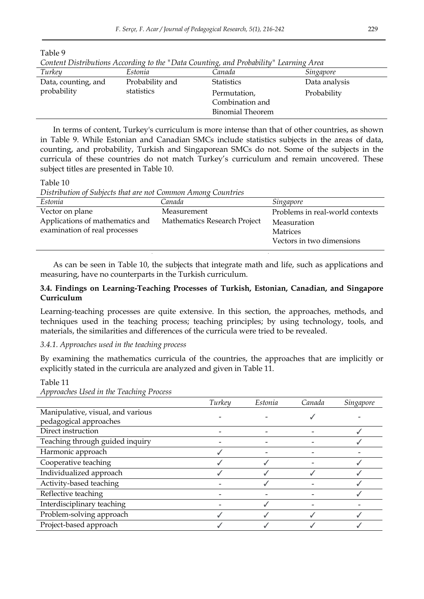| Content Distributions According to the Duth Counting, and Fromotity<br>LUITIITIX IITUI |                   |                 |  |  |
|----------------------------------------------------------------------------------------|-------------------|-----------------|--|--|
| Estonia                                                                                | Canada            | Singapore       |  |  |
| Probability and                                                                        | <b>Statistics</b> | Data analysis   |  |  |
| statistics                                                                             | Permutation,      | Probability     |  |  |
|                                                                                        |                   |                 |  |  |
|                                                                                        | Binomial Theorem  |                 |  |  |
|                                                                                        |                   | Combination and |  |  |

*Content Distributions According to the "Data Counting, and Probability" Learning Area* 

In terms of content, Turkey's curriculum is more intense than that of other countries, as shown in Table 9. While Estonian and Canadian SMCs include statistics subjects in the areas of data, counting, and probability, Turkish and Singaporean SMCs do not. Some of the subjects in the curricula of these countries do not match Turkey"s curriculum and remain uncovered. These subject titles are presented in Table 10.

Table 10

Table 9

*Distribution of Subjects that are not Common Among Countries* 

| Estonia                         | Canada                       | Singapore                       |
|---------------------------------|------------------------------|---------------------------------|
| Vector on plane                 | Measurement                  | Problems in real-world contexts |
| Applications of mathematics and | Mathematics Research Project | Measuration                     |
| examination of real processes   |                              | <b>Matrices</b>                 |
|                                 |                              | Vectors in two dimensions       |
|                                 |                              |                                 |

As can be seen in Table 10, the subjects that integrate math and life, such as applications and measuring, have no counterparts in the Turkish curriculum.

## **3.4. Findings on Learning-Teaching Processes of Turkish, Estonian, Canadian, and Singapore Curriculum**

Learning-teaching processes are quite extensive. In this section, the approaches, methods, and techniques used in the teaching process; teaching principles; by using technology, tools, and materials, the similarities and differences of the curricula were tried to be revealed.

#### *3.4.1. Approaches used in the teaching process*

By examining the mathematics curricula of the countries, the approaches that are implicitly or explicitly stated in the curricula are analyzed and given in Table 11.

Table 11

|                                   | Turkey | Estonia | Canada | Singapore |
|-----------------------------------|--------|---------|--------|-----------|
| Manipulative, visual, and various |        |         |        |           |
| pedagogical approaches            |        |         |        |           |
| Direct instruction                |        |         |        |           |
| Teaching through guided inquiry   |        |         |        |           |
| Harmonic approach                 |        |         |        |           |
| Cooperative teaching              |        |         |        |           |
| Individualized approach           |        |         |        |           |
| Activity-based teaching           |        |         |        |           |
| Reflective teaching               |        |         |        |           |
| Interdisciplinary teaching        |        |         |        |           |
| Problem-solving approach          |        |         |        |           |
| Project-based approach            |        |         |        |           |

*Approaches Used in the Teaching Process*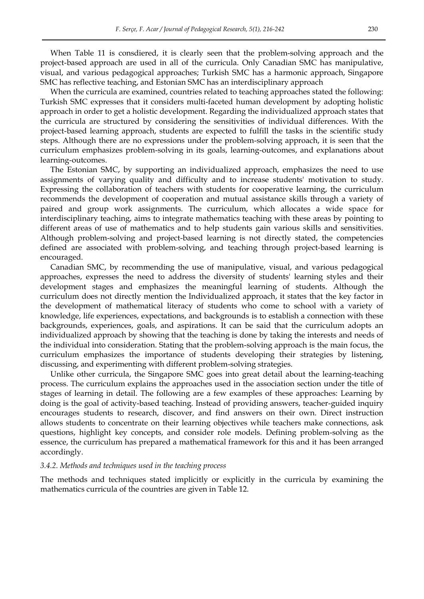When Table 11 is consdiered, it is clearly seen that the problem-solving approach and the project-based approach are used in all of the curricula. Only Canadian SMC has manipulative, visual, and various pedagogical approaches; Turkish SMC has a harmonic approach, Singapore SMC has reflective teaching, and Estonian SMC has an interdisciplinary approach

When the curricula are examined, countries related to teaching approaches stated the following: Turkish SMC expresses that it considers multi-faceted human development by adopting holistic approach in order to get a holistic development. Regarding the individualized approach states that the curricula are structured by considering the sensitivities of individual differences. With the project-based learning approach, students are expected to fulfill the tasks in the scientific study steps. Although there are no expressions under the problem-solving approach, it is seen that the curriculum emphasizes problem-solving in its goals, learning-outcomes, and explanations about learning-outcomes.

The Estonian SMC, by supporting an individualized approach, emphasizes the need to use assignments of varying quality and difficulty and to increase students' motivation to study. Expressing the collaboration of teachers with students for cooperative learning, the curriculum recommends the development of cooperation and mutual assistance skills through a variety of paired and group work assignments. The curriculum, which allocates a wide space for interdisciplinary teaching, aims to integrate mathematics teaching with these areas by pointing to different areas of use of mathematics and to help students gain various skills and sensitivities. Although problem-solving and project-based learning is not directly stated, the competencies defined are associated with problem-solving, and teaching through project-based learning is encouraged.

Canadian SMC, by recommending the use of manipulative, visual, and various pedagogical approaches, expresses the need to address the diversity of students' learning styles and their development stages and emphasizes the meaningful learning of students. Although the curriculum does not directly mention the Individualized approach, it states that the key factor in the development of mathematical literacy of students who come to school with a variety of knowledge, life experiences, expectations, and backgrounds is to establish a connection with these backgrounds, experiences, goals, and aspirations. It can be said that the curriculum adopts an individualized approach by showing that the teaching is done by taking the interests and needs of the individual into consideration. Stating that the problem-solving approach is the main focus, the curriculum emphasizes the importance of students developing their strategies by listening, discussing, and experimenting with different problem-solving strategies.

Unlike other curricula, the Singapore SMC goes into great detail about the learning-teaching process. The curriculum explains the approaches used in the association section under the title of stages of learning in detail. The following are a few examples of these approaches: Learning by doing is the goal of activity-based teaching. Instead of providing answers, teacher-guided inquiry encourages students to research, discover, and find answers on their own. Direct instruction allows students to concentrate on their learning objectives while teachers make connections, ask questions, highlight key concepts, and consider role models. Defining problem-solving as the essence, the curriculum has prepared a mathematical framework for this and it has been arranged accordingly.

#### *3.4.2. Methods and techniques used in the teaching process*

The methods and techniques stated implicitly or explicitly in the curricula by examining the mathematics curricula of the countries are given in Table 12.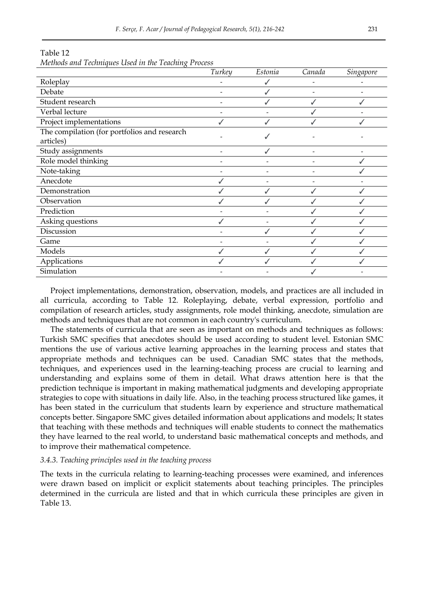|                                              | Turkey | Estonia | Canada | <i>Singapore</i> |
|----------------------------------------------|--------|---------|--------|------------------|
| Roleplay                                     |        |         |        |                  |
| Debate                                       |        |         |        |                  |
| Student research                             |        |         |        |                  |
| Verbal lecture                               |        |         |        |                  |
| Project implementations                      |        |         |        |                  |
| The compilation (for portfolios and research |        |         |        |                  |
| articles)                                    |        |         |        |                  |
| Study assignments                            |        |         | -      |                  |
| Role model thinking                          |        |         |        |                  |
| Note-taking                                  |        |         |        |                  |
| Anecdote                                     |        |         |        |                  |
| Demonstration                                |        |         |        |                  |
| Observation                                  |        |         |        |                  |
| Prediction                                   |        |         |        |                  |
| Asking questions                             |        |         |        |                  |
| Discussion                                   |        |         |        |                  |
| Game                                         |        |         |        |                  |
| Models                                       |        |         |        |                  |
| Applications                                 |        |         |        |                  |
| Simulation                                   |        |         |        |                  |

Table 12

*Methods and Techniques Used in the Teaching Process* 

Project implementations, demonstration, observation, models, and practices are all included in all curricula, according to Table 12. Roleplaying, debate, verbal expression, portfolio and compilation of research articles, study assignments, role model thinking, anecdote, simulation are methods and techniques that are not common in each country's curriculum.

The statements of curricula that are seen as important on methods and techniques as follows: Turkish SMC specifies that anecdotes should be used according to student level. Estonian SMC mentions the use of various active learning approaches in the learning process and states that appropriate methods and techniques can be used. Canadian SMC states that the methods, techniques, and experiences used in the learning-teaching process are crucial to learning and understanding and explains some of them in detail. What draws attention here is that the prediction technique is important in making mathematical judgments and developing appropriate strategies to cope with situations in daily life. Also, in the teaching process structured like games, it has been stated in the curriculum that students learn by experience and structure mathematical concepts better. Singapore SMC gives detailed information about applications and models; It states that teaching with these methods and techniques will enable students to connect the mathematics they have learned to the real world, to understand basic mathematical concepts and methods, and to improve their mathematical competence.

#### *3.4.3. Teaching principles used in the teaching process*

The texts in the curricula relating to learning-teaching processes were examined, and inferences were drawn based on implicit or explicit statements about teaching principles. The principles determined in the curricula are listed and that in which curricula these principles are given in Table 13.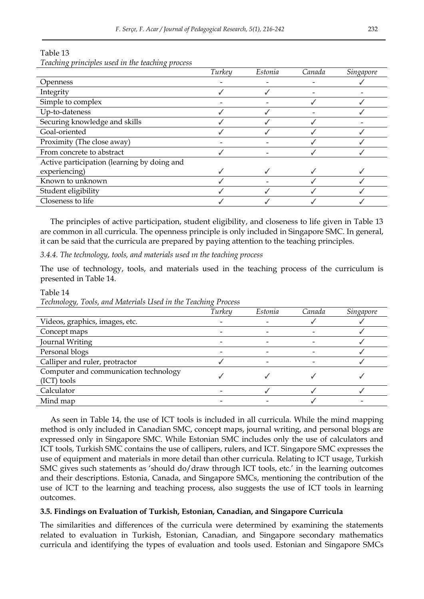|                                             | Turkey | Estonia | Canada | Singapore |
|---------------------------------------------|--------|---------|--------|-----------|
| <b>Openness</b>                             |        |         |        |           |
| Integrity                                   |        |         |        |           |
| Simple to complex                           |        |         |        |           |
| Up-to-dateness                              |        |         |        |           |
| Securing knowledge and skills               |        |         |        |           |
| Goal-oriented                               |        |         |        |           |
| Proximity (The close away)                  |        |         |        |           |
| From concrete to abstract                   |        |         |        |           |
| Active participation (learning by doing and |        |         |        |           |
| experiencing)                               |        |         |        |           |
| Known to unknown                            |        |         |        |           |
| Student eligibility                         |        |         |        |           |
| Closeness to life                           |        |         |        |           |

## Table 13

*Teaching principles used in the teaching process* 

The principles of active participation, student eligibility, and closeness to life given in Table 13 are common in all curricula. The openness principle is only included in Singapore SMC. In general, it can be said that the curricula are prepared by paying attention to the teaching principles.

*3.4.4. The technology, tools, and materials used ın the teaching process*

The use of technology, tools, and materials used in the teaching process of the curriculum is presented in Table 14.

*Turkey Estonia Canada Singapore* Videos, graphics, images, etc. - - ✓ ✓ Concept maps  $\sim$  −  $\sim$   $\sim$  √ Journal Writing - - - ✓ Personal blogs and the set of the set of the set of the set of the set of the set of the set of the set of the set of the set of the set of the set of the set of the set of the set of the set of the set of the set of the Calliper and ruler, protractor  $\checkmark$  - - - ↓ Computer and communication technology  $\sqrt{1}$  tools  $\sqrt{1}$ Calculator - ✓ ✓ ✓ Mind map  $\bullet$  -  $\bullet$  -  $\bullet$  -  $\bullet$  -  $\bullet$  -

Table 14

*Technology, Tools, and Materials Used in the Teaching Process* 

As seen in Table 14, the use of ICT tools is included in all curricula. While the mind mapping method is only included in Canadian SMC, concept maps, journal writing, and personal blogs are expressed only in Singapore SMC. While Estonian SMC includes only the use of calculators and ICT tools, Turkish SMC contains the use of callipers, rulers, and ICT. Singapore SMC expresses the use of equipment and materials in more detail than other curricula. Relating to ICT usage, Turkish SMC gives such statements as 'should do/draw through ICT tools, etc.' in the learning outcomes and their descriptions. Estonia, Canada, and Singapore SMCs, mentioning the contribution of the use of ICT to the learning and teaching process, also suggests the use of ICT tools in learning outcomes.

## **3.5. Findings on Evaluation of Turkish, Estonian, Canadian, and Singapore Curricula**

The similarities and differences of the curricula were determined by examining the statements related to evaluation in Turkish, Estonian, Canadian, and Singapore secondary mathematics curricula and identifying the types of evaluation and tools used. Estonian and Singapore SMCs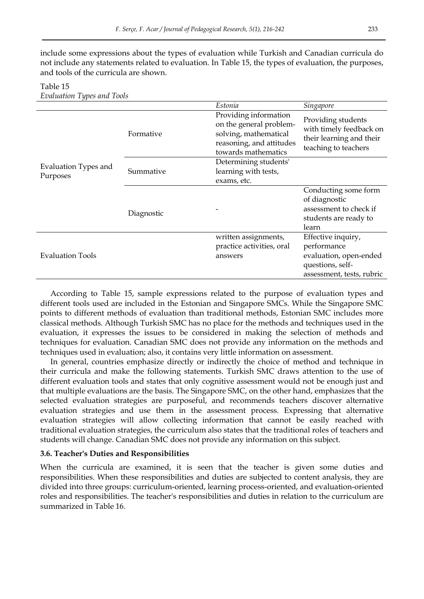include some expressions about the types of evaluation while Turkish and Canadian curricula do not include any statements related to evaluation. In Table 15, the types of evaluation, the purposes, and tools of the curricula are shown.

| Louinnion Types and Tools        |            |                                                                                                                              |                                                                                                              |
|----------------------------------|------------|------------------------------------------------------------------------------------------------------------------------------|--------------------------------------------------------------------------------------------------------------|
|                                  |            | Estonia                                                                                                                      | Singapore                                                                                                    |
|                                  | Formative  | Providing information<br>on the general problem-<br>solving, mathematical<br>reasoning, and attitudes<br>towards mathematics | Providing students<br>with timely feedback on<br>their learning and their<br>teaching to teachers            |
| Evaluation Types and<br>Purposes | Summative  | Determining students'<br>learning with tests,<br>exams, etc.                                                                 |                                                                                                              |
|                                  | Diagnostic |                                                                                                                              | Conducting some form<br>of diagnostic<br>assessment to check if<br>students are ready to<br>learn            |
| <b>Evaluation Tools</b>          |            | written assignments,<br>practice activities, oral<br>answers                                                                 | Effective inquiry,<br>performance<br>evaluation, open-ended<br>questions, self-<br>assessment, tests, rubric |

## Table 15 *Evaluation Types and Tools*

According to Table 15, sample expressions related to the purpose of evaluation types and different tools used are included in the Estonian and Singapore SMCs. While the Singapore SMC points to different methods of evaluation than traditional methods, Estonian SMC includes more classical methods. Although Turkish SMC has no place for the methods and techniques used in the evaluation, it expresses the issues to be considered in making the selection of methods and techniques for evaluation. Canadian SMC does not provide any information on the methods and techniques used in evaluation; also, it contains very little information on assessment.

In general, countries emphasize directly or indirectly the choice of method and technique in their curricula and make the following statements. Turkish SMC draws attention to the use of different evaluation tools and states that only cognitive assessment would not be enough just and that multiple evaluations are the basis. The Singapore SMC, on the other hand, emphasizes that the selected evaluation strategies are purposeful, and recommends teachers discover alternative evaluation strategies and use them in the assessment process. Expressing that alternative evaluation strategies will allow collecting information that cannot be easily reached with traditional evaluation strategies, the curriculum also states that the traditional roles of teachers and students will change. Canadian SMC does not provide any information on this subject.

## **3.6. Teacher's Duties and Responsibilities**

When the curricula are examined, it is seen that the teacher is given some duties and responsibilities. When these responsibilities and duties are subjected to content analysis, they are divided into three groups: curriculum-oriented, learning process-oriented, and evaluation-oriented roles and responsibilities. The teacher's responsibilities and duties in relation to the curriculum are summarized in Table 16.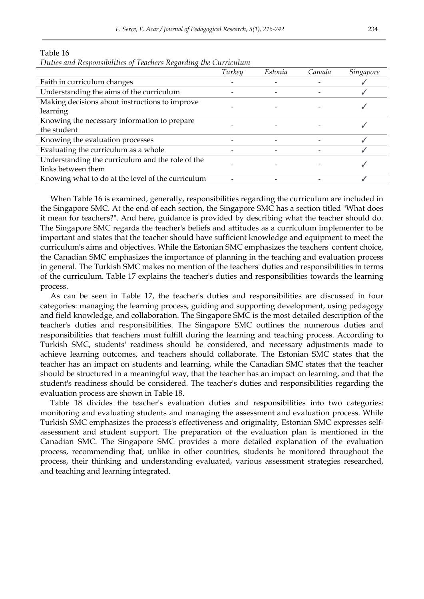|                                                   | Turkey | Estonia | Canada | <i><b>Singapore</b></i> |
|---------------------------------------------------|--------|---------|--------|-------------------------|
| Faith in curriculum changes                       |        |         |        |                         |
| Understanding the aims of the curriculum          |        |         |        |                         |
| Making decisions about instructions to improve    |        |         |        |                         |
| learning                                          |        |         |        |                         |
| Knowing the necessary information to prepare      |        |         |        |                         |
| the student                                       |        |         |        |                         |
| Knowing the evaluation processes                  |        |         |        |                         |
| Evaluating the curriculum as a whole              |        |         |        |                         |
| Understanding the curriculum and the role of the  |        |         |        |                         |
| links between them                                |        |         |        |                         |
| Knowing what to do at the level of the curriculum |        |         |        |                         |

Table 16 *Duties and Responsibilities of Teachers Regarding the Curriculum* 

When Table 16 is examined, generally, responsibilities regarding the curriculum are included in the Singapore SMC. At the end of each section, the Singapore SMC has a section titled "What does it mean for teachers?". And here, guidance is provided by describing what the teacher should do. The Singapore SMC regards the teacher's beliefs and attitudes as a curriculum implementer to be important and states that the teacher should have sufficient knowledge and equipment to meet the curriculum's aims and objectives. While the Estonian SMC emphasizes the teachers' content choice, the Canadian SMC emphasizes the importance of planning in the teaching and evaluation process in general. The Turkish SMC makes no mention of the teachers' duties and responsibilities in terms of the curriculum. Table 17 explains the teacher's duties and responsibilities towards the learning process.

As can be seen in Table 17, the teacher's duties and responsibilities are discussed in four categories: managing the learning process, guiding and supporting development, using pedagogy and field knowledge, and collaboration. The Singapore SMC is the most detailed description of the teacher's duties and responsibilities. The Singapore SMC outlines the numerous duties and responsibilities that teachers must fulfill during the learning and teaching process. According to Turkish SMC, students' readiness should be considered, and necessary adjustments made to achieve learning outcomes, and teachers should collaborate. The Estonian SMC states that the teacher has an impact on students and learning, while the Canadian SMC states that the teacher should be structured in a meaningful way, that the teacher has an impact on learning, and that the student's readiness should be considered. The teacher's duties and responsibilities regarding the evaluation process are shown in Table 18.

Table 18 divides the teacher's evaluation duties and responsibilities into two categories: monitoring and evaluating students and managing the assessment and evaluation process. While Turkish SMC emphasizes the process's effectiveness and originality, Estonian SMC expresses selfassessment and student support. The preparation of the evaluation plan is mentioned in the Canadian SMC. The Singapore SMC provides a more detailed explanation of the evaluation process, recommending that, unlike in other countries, students be monitored throughout the process, their thinking and understanding evaluated, various assessment strategies researched, and teaching and learning integrated.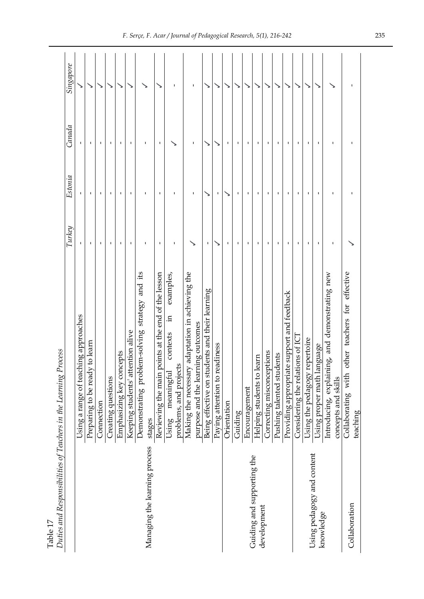| Latinum and the conduct of the comment of the control of the control of the control of the control of the control of the control of the control of the control of the control of the control of the control of the control of | <u>פטטס</u>                                                    |              |         |              |                       |
|-------------------------------------------------------------------------------------------------------------------------------------------------------------------------------------------------------------------------------|----------------------------------------------------------------|--------------|---------|--------------|-----------------------|
|                                                                                                                                                                                                                               |                                                                | Turkey       | Estonia | Canada       | Singapore             |
|                                                                                                                                                                                                                               | Using a range of teaching approaches                           |              |         |              |                       |
|                                                                                                                                                                                                                               | to learn<br>Preparing to be ready                              | I.           | f,      | f,           | ↘                     |
|                                                                                                                                                                                                                               | Connection                                                     | f,           |         |              |                       |
|                                                                                                                                                                                                                               | Creating questions                                             | ×.           |         |              |                       |
|                                                                                                                                                                                                                               | Emphasizing key concepts                                       |              |         |              |                       |
|                                                                                                                                                                                                                               | Keeping students' attention alive                              | f,           | ı       | f,           |                       |
|                                                                                                                                                                                                                               | Demonstrating problem-solving strategy and its                 | f,           | ı       | f,           |                       |
| Managing the learning process                                                                                                                                                                                                 | stages                                                         |              |         |              |                       |
|                                                                                                                                                                                                                               | Reviewing the main points at the end of the lesson             | 1            | J.      | 1            |                       |
|                                                                                                                                                                                                                               | examples,<br>ដ.<br>contexts<br>meaningful<br>Using             | ٠            |         |              | f,                    |
|                                                                                                                                                                                                                               | problems, and projects                                         |              |         |              |                       |
|                                                                                                                                                                                                                               | adaptation in achieving the<br>Making the necessary            |              | 1       | $\mathbf{I}$ | J,                    |
|                                                                                                                                                                                                                               | purpose and the learning outcomes                              |              |         |              |                       |
|                                                                                                                                                                                                                               | Being effective on students and their learning                 | $\mathbf I$  |         |              |                       |
|                                                                                                                                                                                                                               | Paying attention to readiness                                  |              | 1       |              |                       |
|                                                                                                                                                                                                                               | Orientation                                                    | $\mathbf{I}$ |         | $\mathbf{I}$ |                       |
|                                                                                                                                                                                                                               | Guiding                                                        | $\mathbf{I}$ |         |              |                       |
|                                                                                                                                                                                                                               | Encouragement                                                  | ı            |         |              |                       |
| Guiding and supporting the                                                                                                                                                                                                    | Helping students to learn                                      | $\mathbf{I}$ |         |              |                       |
| development                                                                                                                                                                                                                   | Correcting misconceptions                                      | п            |         |              |                       |
|                                                                                                                                                                                                                               | lents<br>Pushing talented stud                                 | ٠            |         |              | $\blacktriangleright$ |
|                                                                                                                                                                                                                               | Providing appropriate support and feedback                     |              |         |              |                       |
|                                                                                                                                                                                                                               | ons of ICT<br>Considering the relati                           |              |         |              |                       |
|                                                                                                                                                                                                                               | Using the pedagogy repertoire                                  |              |         |              |                       |
| Using pedagogy and content<br>knowledge                                                                                                                                                                                       | Using proper math language                                     | ٠            |         |              |                       |
|                                                                                                                                                                                                                               | Introducing, explaining, and demonstrating new                 | ı            |         |              |                       |
|                                                                                                                                                                                                                               | concepts and skills                                            |              |         |              |                       |
| Collaboration                                                                                                                                                                                                                 | other teachers for effective<br>Collaborating with<br>teaching |              |         |              | ٠                     |
|                                                                                                                                                                                                                               |                                                                |              |         |              |                       |

Table 17<br>Duties and Responsibilities of Teachers in the Learning Process *Duties and Responsibilities of Teachers in the Learning Process*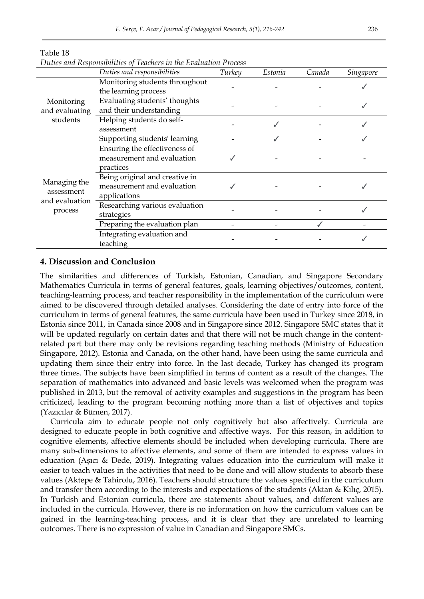|                                              | D anco and reoponsioning of reachers in the Evanantion Froccs<br>Duties and responsibilities | Turkey | Estonia | Canada | Singapore |
|----------------------------------------------|----------------------------------------------------------------------------------------------|--------|---------|--------|-----------|
|                                              | Monitoring students throughout<br>the learning process                                       |        |         |        |           |
| Monitoring<br>and evaluating                 | Evaluating students' thoughts<br>and their understanding                                     |        |         |        |           |
| students                                     | Helping students do self-<br>assessment                                                      |        |         |        |           |
|                                              | Supporting students' learning                                                                |        |         |        |           |
|                                              | Ensuring the effectiveness of<br>measurement and evaluation<br>practices                     |        |         |        |           |
| Managing the<br>assessment<br>and evaluation | Being original and creative in<br>measurement and evaluation<br>applications                 |        |         |        |           |
| process                                      | Researching various evaluation<br>strategies                                                 |        |         |        |           |
|                                              | Preparing the evaluation plan                                                                |        |         |        |           |
|                                              | Integrating evaluation and<br>teaching                                                       |        |         |        |           |

| Duties and Responsibilities of Teachers in the Evaluation Process |
|-------------------------------------------------------------------|
|-------------------------------------------------------------------|

### **4. Discussion and Conclusion**

Table 18

The similarities and differences of Turkish, Estonian, Canadian, and Singapore Secondary Mathematics Curricula in terms of general features, goals, learning objectives/outcomes, content, teaching-learning process, and teacher responsibility in the implementation of the curriculum were aimed to be discovered through detailed analyses. Considering the date of entry into force of the curriculum in terms of general features, the same curricula have been used in Turkey since 2018, in Estonia since 2011, in Canada since 2008 and in Singapore since 2012. Singapore SMC states that it will be updated regularly on certain dates and that there will not be much change in the contentrelated part but there may only be revisions regarding teaching methods (Ministry of Education Singapore, 2012). Estonia and Canada, on the other hand, have been using the same curricula and updating them since their entry into force. In the last decade, Turkey has changed its program three times. The subjects have been simplified in terms of content as a result of the changes. The separation of mathematics into advanced and basic levels was welcomed when the program was published in 2013, but the removal of activity examples and suggestions in the program has been criticized, leading to the program becoming nothing more than a list of objectives and topics (Yazıcılar & Bümen, 2017).

Curricula aim to educate people not only cognitively but also affectively. Curricula are designed to educate people in both cognitive and affective ways. For this reason, in addition to cognitive elements, affective elements should be included when developing curricula. There are many sub-dimensions to affective elements, and some of them are intended to express values in education (Aşıcı & Dede, 2019). Integrating values education into the curriculum will make it easier to teach values in the activities that need to be done and will allow students to absorb these values (Aktepe & Tahirolu, 2016). Teachers should structure the values specified in the curriculum and transfer them according to the interests and expectations of the students (Aktan & Kılıç, 2015). In Turkish and Estonian curricula, there are statements about values, and different values are included in the curricula. However, there is no information on how the curriculum values can be gained in the learning-teaching process, and it is clear that they are unrelated to learning outcomes. There is no expression of value in Canadian and Singapore SMCs.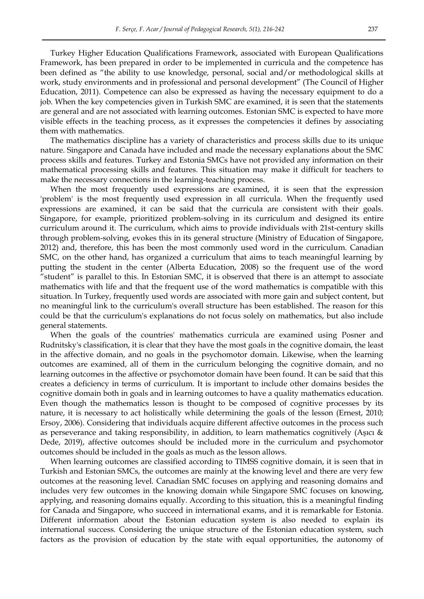Turkey Higher Education Qualifications Framework, associated with European Qualifications Framework, has been prepared in order to be implemented in curricula and the competence has been defined as "the ability to use knowledge, personal, social and/or methodological skills at work, study environments and in professional and personal development" (The Council of Higher Education, 2011). Competence can also be expressed as having the necessary equipment to do a job. When the key competencies given in Turkish SMC are examined, it is seen that the statements are general and are not associated with learning outcomes. Estonian SMC is expected to have more visible effects in the teaching process, as it expresses the competencies it defines by associating them with mathematics.

The mathematics discipline has a variety of characteristics and process skills due to its unique nature. Singapore and Canada have included and made the necessary explanations about the SMC process skills and features. Turkey and Estonia SMCs have not provided any information on their mathematical processing skills and features. This situation may make it difficult for teachers to make the necessary connections in the learning-teaching process.

When the most frequently used expressions are examined, it is seen that the expression 'problem' is the most frequently used expression in all curricula. When the frequently used expressions are examined, it can be said that the curricula are consistent with their goals. Singapore, for example, prioritized problem-solving in its curriculum and designed its entire curriculum around it. The curriculum, which aims to provide individuals with 21st-century skills through problem-solving, evokes this in its general structure (Ministry of Education of Singapore, 2012) and, therefore, this has been the most commonly used word in the curriculum. Canadian SMC, on the other hand, has organized a curriculum that aims to teach meaningful learning by putting the student in the center (Alberta Education, 2008) so the frequent use of the word "student" is parallel to this. In Estonian SMC, it is observed that there is an attempt to associate mathematics with life and that the frequent use of the word mathematics is compatible with this situation. In Turkey, frequently used words are associated with more gain and subject content, but no meaningful link to the curriculum's overall structure has been established. The reason for this could be that the curriculum's explanations do not focus solely on mathematics, but also include general statements.

When the goals of the countries' mathematics curricula are examined using Posner and Rudnitsky's classification, it is clear that they have the most goals in the cognitive domain, the least in the affective domain, and no goals in the psychomotor domain. Likewise, when the learning outcomes are examined, all of them in the curriculum belonging the cognitive domain, and no learning outcomes in the affective or psychomotor domain have been found. It can be said that this creates a deficiency in terms of curriculum. It is important to include other domains besides the cognitive domain both in goals and in learning outcomes to have a quality mathematics education. Even though the mathematics lesson is thought to be composed of cognitive processes by its nature, it is necessary to act holistically while determining the goals of the lesson (Ernest, 2010; Ersoy, 2006). Considering that individuals acquire different affective outcomes in the process such as perseverance and taking responsibility, in addition, to learn mathematics cognitively (Aşıcı & Dede, 2019), affective outcomes should be included more in the curriculum and psychomotor outcomes should be included in the goals as much as the lesson allows.

When learning outcomes are classified according to TIMSS cognitive domain, it is seen that in Turkish and Estonian SMCs, the outcomes are mainly at the knowing level and there are very few outcomes at the reasoning level. Canadian SMC focuses on applying and reasoning domains and includes very few outcomes in the knowing domain while Singapore SMC focuses on knowing, applying, and reasoning domains equally. According to this situation, this is a meaningful finding for Canada and Singapore, who succeed in international exams, and it is remarkable for Estonia. Different information about the Estonian education system is also needed to explain its international success. Considering the unique structure of the Estonian education system, such factors as the provision of education by the state with equal opportunities, the autonomy of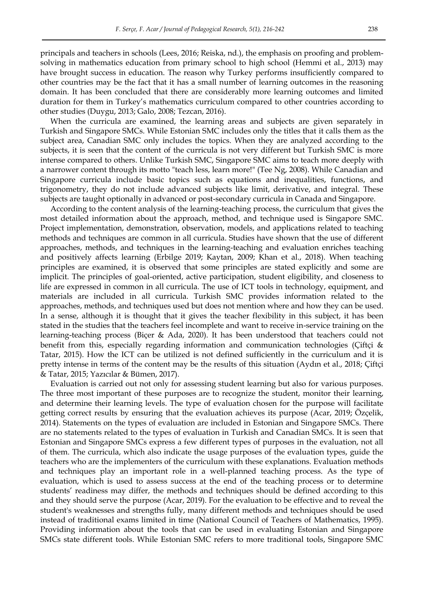principals and teachers in schools (Lees, 2016; Reiska, nd.), the emphasis on proofing and problemsolving in mathematics education from primary school to high school (Hemmi et al., 2013) may have brought success in education. The reason why Turkey performs insufficiently compared to other countries may be the fact that it has a small number of learning outcomes in the reasoning domain. It has been concluded that there are considerably more learning outcomes and limited duration for them in Turkey"s mathematics curriculum compared to other countries according to other studies (Duygu, 2013; Galo, 2008; Tezcan, 2016).

When the curricula are examined, the learning areas and subjects are given separately in Turkish and Singapore SMCs. While Estonian SMC includes only the titles that it calls them as the subject area, Canadian SMC only includes the topics. When they are analyzed according to the subjects, it is seen that the content of the curricula is not very different but Turkish SMC is more intense compared to others. Unlike Turkish SMC, Singapore SMC aims to teach more deeply with a narrower content through its motto "teach less, learn more!" (Tee Ng, 2008). While Canadian and Singapore curricula include basic topics such as equations and inequalities, functions, and trigonometry, they do not include advanced subjects like limit, derivative, and integral. These subjects are taught optionally in advanced or post-secondary curricula in Canada and Singapore.

According to the content analysis of the learning-teaching process, the curriculum that gives the most detailed information about the approach, method, and technique used is Singapore SMC. Project implementation, demonstration, observation, models, and applications related to teaching methods and techniques are common in all curricula. Studies have shown that the use of different approaches, methods, and techniques in the learning-teaching and evaluation enriches teaching and positively affects learning (Erbilge 2019; Kaytan, 2009; Khan et al., 2018). When teaching principles are examined, it is observed that some principles are stated explicitly and some are implicit. The principles of goal-oriented, active participation, student eligibility, and closeness to life are expressed in common in all curricula. The use of ICT tools in technology, equipment, and materials are included in all curricula. Turkish SMC provides information related to the approaches, methods, and techniques used but does not mention where and how they can be used. In a sense, although it is thought that it gives the teacher flexibility in this subject, it has been stated in the studies that the teachers feel incomplete and want to receive in-service training on the learning-teaching process (Biçer & Ada, 2020). It has been understood that teachers could not benefit from this, especially regarding information and communication technologies (Çiftçi & Tatar, 2015). How the ICT can be utilized is not defined sufficiently in the curriculum and it is pretty intense in terms of the content may be the results of this situation (Aydın et al., 2018; Çiftçi & Tatar, 2015; Yazıcılar & Bümen, 2017).

Evaluation is carried out not only for assessing student learning but also for various purposes. The three most important of these purposes are to recognize the student, monitor their learning, and determine their learning levels. The type of evaluation chosen for the purpose will facilitate getting correct results by ensuring that the evaluation achieves its purpose (Acar, 2019; Ozçelik, 2014). Statements on the types of evaluation are included in Estonian and Singapore SMCs. There are no statements related to the types of evaluation in Turkish and Canadian SMCs. It is seen that Estonian and Singapore SMCs express a few different types of purposes in the evaluation, not all of them. The curricula, which also indicate the usage purposes of the evaluation types, guide the teachers who are the implementers of the curriculum with these explanations. Evaluation methods and techniques play an important role in a well-planned teaching process. As the type of evaluation, which is used to assess success at the end of the teaching process or to determine students" readiness may differ, the methods and techniques should be defined according to this and they should serve the purpose (Acar, 2019). For the evaluation to be effective and to reveal the student's weaknesses and strengths fully, many different methods and techniques should be used instead of traditional exams limited in time (National Council of Teachers of Mathematics, 1995). Providing information about the tools that can be used in evaluating Estonian and Singapore SMCs state different tools. While Estonian SMC refers to more traditional tools, Singapore SMC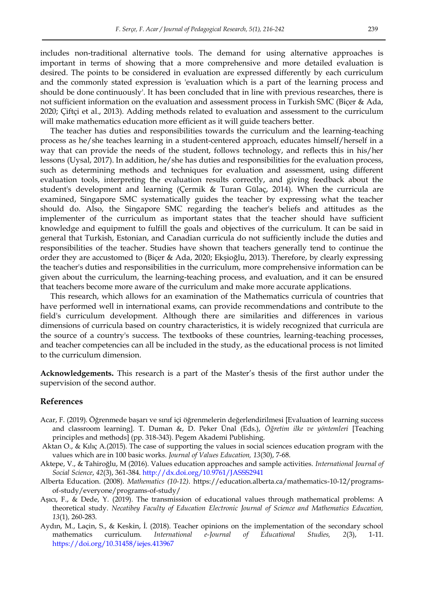includes non-traditional alternative tools. The demand for using alternative approaches is important in terms of showing that a more comprehensive and more detailed evaluation is desired. The points to be considered in evaluation are expressed differently by each curriculum and the commonly stated expression is 'evaluation which is a part of the learning process and should be done continuously'. It has been concluded that in line with previous researches, there is not sufficient information on the evaluation and assessment process in Turkish SMC (Biçer & Ada, 2020; Çiftçi et al., 2013). Adding methods related to evaluation and assessment to the curriculum will make mathematics education more efficient as it will guide teachers better.

The teacher has duties and responsibilities towards the curriculum and the learning-teaching process as he/she teaches learning in a student-centered approach, educates himself/herself in a way that can provide the needs of the student, follows technology, and reflects this in his/her lessons (Uysal, 2017). In addition, he/she has duties and responsibilities for the evaluation process, such as determining methods and techniques for evaluation and assessment, using different evaluation tools, interpreting the evaluation results correctly, and giving feedback about the student's development and learning (Çermik & Turan Gülaç, 2014). When the curricula are examined, Singapore SMC systematically guides the teacher by expressing what the teacher should do. Also, the Singapore SMC regarding the teacher's beliefs and attitudes as the implementer of the curriculum as important states that the teacher should have sufficient knowledge and equipment to fulfill the goals and objectives of the curriculum. It can be said in general that Turkish, Estonian, and Canadian curricula do not sufficiently include the duties and responsibilities of the teacher. Studies have shown that teachers generally tend to continue the order they are accustomed to (Biçer & Ada, 2020; Ekşioğlu, 2013). Therefore, by clearly expressing the teacher's duties and responsibilities in the curriculum, more comprehensive information can be given about the curriculum, the learning-teaching process, and evaluation, and it can be ensured that teachers become more aware of the curriculum and make more accurate applications.

This research, which allows for an examination of the Mathematics curricula of countries that have performed well in international exams, can provide recommendations and contribute to the field's curriculum development. Although there are similarities and differences in various dimensions of curricula based on country characteristics, it is widely recognized that curricula are the source of a country's success. The textbooks of these countries, learning-teaching processes, and teacher competencies can all be included in the study, as the educational process is not limited to the curriculum dimension.

**Acknowledgements.** This research is a part of the Master"s thesis of the first author under the supervision of the second author.

#### **References**

- Acar, F. (2019). Öğrenmede başarı ve sınıf içi öğrenmelerin değerlendirilmesi [Evaluation of learning success and classroom learning]. T. Duman &, D. Peker Ünal (Eds.), *Öğretim ilke ve yöntemleri* [Teaching principles and methods] (pp. 318-343). Pegem Akademi Publishing.
- Aktan O., & Kılıç A.(2015). The case of supporting the values in social sciences education program with the values which are in 100 basic works. *Journal of Values Education, 13*(30), 7-68.
- Aktepe, V., & Tahiroğlu, M (2016). Values education approaches and sample activities. *International Journal of Social Science*, *42*(3), 361-384.<http://dx.doi.org/10.9761/JASSS2941>
- Alberta Education. (2008). *Mathematics (10-12)*. [https://education.alberta.ca/mathematics-10-12/programs](https://education.alberta.ca/mathematics-10-12/programs-of-study/everyone/programs-of-study/)[of-study/everyone/programs-of-study/](https://education.alberta.ca/mathematics-10-12/programs-of-study/everyone/programs-of-study/)
- Aşıcı, F., & Dede, Y. (2019). The transmission of educational values through mathematical problems: A theoretical study. *Necatibey Faculty of Education Electronic Journal of Science and Mathematics Education, 13*(1)*,* 260-283.
- Aydın, M., Laçin, S., & Keskin, İ. (2018). Teacher opinions on the implementation of the secondary school mathematics curriculum*. International e-Journal of Educational Studies, 2*(3), 1-11. <https://doi.org/10.31458/iejes.413967>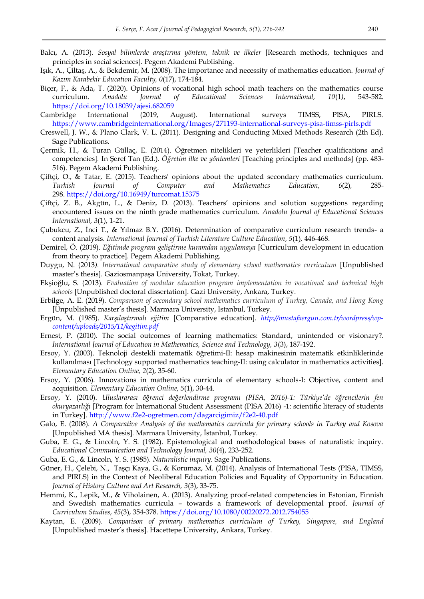- Balcı, A. (2013). *Sosyal bilimlerde araştırma yöntem, teknik ve ilkeler* [Research methods, techniques and principles in social sciences]. Pegem Akademi Publishing.
- Işık, A., Çiltaş, A., & Bekdemir, M. (2008). The importance and necessity of mathematics education. *Journal of Kazım Karabekir Education Faculty, 0*(17), 174-184.
- Biçer, F., & Ada, T. (2020). Opinions of vocational high school math teachers on the mathematics course curriculum. *Anadolu Journal of Educational Sciences International, 10*(1*)*, 543-582. <https://doi.org/10.18039/ajesi.682059>
- Cambridge International (2019, August). International surveys TIMSS, PISA, PIRLS. <https://www.cambridgeinternational.org/Images/271193-international-surveys-pisa-timss-pirls.pdf>
- Creswell, J. W., & Plano Clark, V. L. (2011). Designing and Conducting Mixed Methods Research (2th Ed). Sage Publications.
- Çermik, H., & Turan Güllaç, E. (2014). Öğretmen nitelikleri ve yeterlikleri [Teacher qualifications and competencies]*.* In Şeref Tan (Ed.). *Öğretim ilke ve yöntemleri* [Teaching principles and methods] (pp. 483- 516). Pegem Akademi Publishing.
- Çiftçi, O., & Tatar, E. (2015). Teachers' opinions about the updated secondary mathematics curriculum. *Turkish Journal of Computer and Mathematics Education, 6*(2)*,* 285- 298[. https://doi.org/10.16949/turcomat.15375](https://doi.org/10.16949/turcomat.15375)
- Çiftçi, Z. B., Akgün, L., & Deniz, D. (2013). Teachers" opinions and solution suggestions regarding encountered issues on the ninth grade mathematics curriculum. *Anadolu Journal of Educational Sciences International, 3*(1), 1-21.
- Çubukcu, Z., İnci T., & Yılmaz B.Y. (2016). Determination of comparative curriculum research trends- a content analysis. *International Journal of Turkish Literature Culture Education, 5*(1)*,* 446-468.
- Demirel, Ö. (2019). *Eğitimde program geliştirme kuramdan uygulamaya* [Curriculum development in education from theory to practice]. Pegem Akademi Publishing.
- Duygu, N. (2013*). International comparative study of elementary school mathematics curriculum* [Unpublished master"s thesis]. Gaziosmanpaşa University, Tokat, Turkey.
- Ekşioğlu, S. (2013). *Evaluation of modular education program implementation in vocational and technical high schools* [Unpublished doctoral dissertation]. Gazi University, Ankara, Turkey.
- Erbilge, A. E. (2019). *Comparison of secondary school mathematics curriculum of Turkey, Canada, and Hong Kong*  [Unpublished master"s thesis]. Marmara University, Istanbul, Turkey.
- Ergün, M. (1985). *Karşılaştırmalı eğitim* [Comparative education]. *[http://mustafaergun.com.tr/wordpress/wp](http://mustafaergun.com.tr/wordpress/wp-content/uploads/2015/11/kegitim.pdf)[content/uploads/2015/11/kegitim.pdf](http://mustafaergun.com.tr/wordpress/wp-content/uploads/2015/11/kegitim.pdf)*
- Ernest, P. (2010). The social outcomes of learning mathematics: Standard, unintended or visionary?. *International Journal of Education in Mathematics, Science and Technology, 3*(3), 187-192.
- Ersoy, Y. (2003). Teknoloji destekli matematik öğretimi-II: hesap makinesinin matematik etkinliklerinde kullanılması [Technology supported mathematics teaching-II: using calculator in mathematics activities]*. Elementary Education Online, 2*(2), 35-60.
- Ersoy, Y. (2006). Innovations in mathematics curricula of elementary schools-I: Objective, content and acquisition. *Elementary Education Online, 5*(1), 30-44.
- Ersoy, Y. (2010). *Uluslararası öğrenci değerlendirme programı (PISA, 2016)-1: Türkiye'de öğrencilerin fen okuryazarlığı* [Program for International Student Assessment (PISA 2016) -1: scientific literacy of students in Turkey].<http://www.f2e2-ogretmen.com/dagarcigimiz/f2e2-40.pdf>
- Galo, E. (2008). *A Comparative Analysis of the mathematics curricula for primary schools in Turkey and Kosova* [Unpublished MA thesis]. Marmara University, İstanbul, Turkey.
- Guba, E. G., & Lincoln, Y. S. (1982). Epistemological and methodological bases of naturalistic inquiry. *Educational Communication and Technology Journal, 30*(4), 233-252.
- Guba, E. G., & Lincoln, Y. S. (1985). *Naturalistic inquiry*. Sage Publications.
- Güner, H., Çelebi, N., Taşçı Kaya, G., & Korumaz, M. (2014). Analysis of International Tests (PISA, TIMSS, and PIRLS) in the Context of Neoliberal Education Policies and Equality of Opportunity in Education. *Journal of History Culture and Art Research, 3*(3), 33-75.
- Hemmi, K., Lepik, M., & Viholainen, A. (2013). Analyzing proof-related competencies in Estonian, Finnish and Swedish mathematics curricula – towards a framework of developmental proof. *Journal of Curriculum Studies*, *45*[\(3\),](https://www.tandfonline.com/toc/tcus20/current) 354-37[8.](https://www.tandfonline.com/toc/tcus20/current) <https://doi.org/10.1080/00220272.2012.754055>
- Kaytan, E. (2009). *Comparison of primary mathematics curriculum of Turkey, Singapore, and England* [Unpublished master"s thesis]. Hacettepe University, Ankara, Turkey.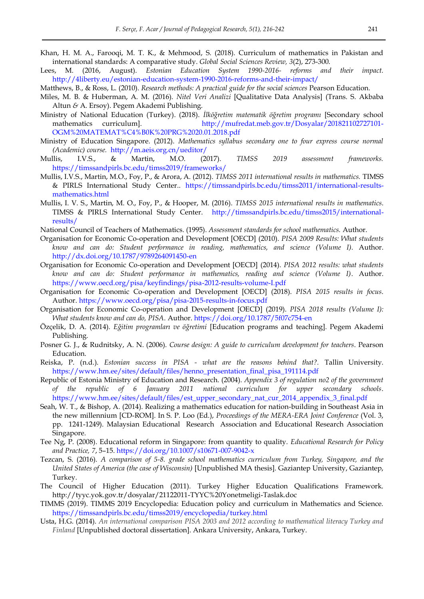- Khan, H. M. A., Farooqi, M. T. K., & Mehmood, S. (2018). Curriculum of mathematics in Pakistan and international standards: A comparative study. *Global Social Sciences Review, 3*(2), 273-300.
- Lees, M. (2016, August). *Estonian Education System 1990-2016- reforms and their impact.* <http://4liberty.eu/estonian-education-system-1990-2016-reforms-and-their-impact/>
- Matthews, B., & Ross, L. (2010). *Research methods: A practical guide for the social sciences* Pearson Education.
- Miles, M. B. & Huberman, A. M. (2016). *Nitel Veri Analizi* [Qualitative Data Analysis] (Trans. S. Akbaba Altun *&* A. Ersoy). Pegem Akademi Publishing.
- Ministry of National Education (Turkey). (2018). *İlköğretim matematik öğretim programı* [Secondary school mathematics curriculum]. [http://mufredat.meb.gov.tr/Dosyalar/201821102727101-](http://mufredat.meb.gov.tr/Dosyalar/201821102727101-OGM%20MATEMAT%C4%B0K%20PRG%2020.01.2018.pdf) [OGM%20MATEMAT%C4%B0K%20PRG%2020.01.2018.pdf](http://mufredat.meb.gov.tr/Dosyalar/201821102727101-OGM%20MATEMAT%C4%B0K%20PRG%2020.01.2018.pdf)
- Ministry of Education Singapore. (2012). *Mathematics syllabus secondary one to four express course normal (Academic) course.* <http://m.aeis.org.cn/ueditor/>
- Mullis, I.V.S., & Martin, M.O. (2017). *TIMSS 2019 assessment frameworks.* <https://timssandpirls.bc.edu/timss2019/frameworks/>
- Mullis, I.V.S., Martin, M.O., Foy, P., & Arora, A. (2012). *TIMSS 2011 international results in mathematics.* TIMSS & PIRLS International Study Center.. [https://timssandpirls.bc.edu/timss2011/international-results](https://timssandpirls.bc.edu/timss2011/international-results-mathematics.html)[mathematics.html](https://timssandpirls.bc.edu/timss2011/international-results-mathematics.html)
- Mullis, I. V. S., Martin, M. O., Foy, P., & Hooper, M. (2016). *TIMSS 2015 international results in mathematics*. TIMSS & PIRLS International Study Center. [http://timssandpirls.bc.edu/timss2015/international](http://timssandpirls.bc.edu/timss2015/international-results/)[results/](http://timssandpirls.bc.edu/timss2015/international-results/)
- National Council of Teachers of Mathematics. (1995). *Assessment standards for school mathematics.* Author.
- Organisation for Economic Co-operation and Development [OECD] (2010). *PISA 2009 Results: What students know and can do: Student performance in reading, mathematics, and science (Volume I)*. Autho[r.](http://dx.doi.org/10.1787/9789264091450-en) <http://dx.doi.org/10.1787/9789264091450-en>
- Organisation for Economic Co-operation and Development [OECD] (2014). *PISA 2012 results: what students know and can do: Student performance in mathematics, reading and science (Volume I)*. Author. <https://www.oecd.org/pisa/keyfindings/pisa-2012-results-volume-I.pdf>
- Organisation for Economic Co-operation and Development [OECD] (2018). *PISA 2015 results in focus*. Author.<https://www.oecd.org/pisa/pisa-2015-results-in-focus.pdf>
- Organisation for Economic Co-operation and Development [OECD] (2019). *PISA 2018 results (Volume I): What students know and can do, PISA*. Author[. https://doi.org/10.1787/5f07c754-en](https://doi.org/10.1787/5f07c754-en)
- Özçelik, D. A. (2014). *Eğitim programları ve öğretimi* [Education programs and teaching]. Pegem Akademi Publishing.
- Posner G. J., & Rudnitsky, A. N. (2006). *Course design: A guide to curriculum development for teachers*. Pearson Education.
- Reiska, P. (n.d.). *Estonian success in PISA what are the reasons behind that?.* Tallin University. [https://www.hm.ee/sites/default/files/henno\\_presentation\\_final\\_pisa\\_191114.pdf](https://www.hm.ee/sites/default/files/henno_presentation_final_pisa_191114.pdf)
- Republic of Estonia Ministry of Education and Research. (2004). *Appendix 3 of regulation no2 of the government of the republic of 6 January 2011 national curriculum for upper secondary schools*. [https://www.hm.ee/sites/default/files/est\\_upper\\_secondary\\_nat\\_cur\\_2014\\_appendix\\_3\\_final.pdf](https://www.hm.ee/sites/default/files/est_upper_secondary_nat_cur_2014_appendix_3_final.pdf)
- Seah, W. T., & Bishop, A. (2014). Realizing a mathematics education for nation-building in Southeast Asia in the new millennium [CD-ROM]. In S. P. Loo (Ed.), *Proceedings of the MERA-ERA Joint Conference* (Vol. 3, pp. 1241-1249). Malaysian Educational Research Association and Educational Research Association Singapore.
- Tee Ng, P. (2008). Educational reform in Singapore: from quantity to quality. *Educational Research for Policy and Practice, 7*, 5–15.<https://doi.org/10.1007/s10671-007-9042-x>
- Tezcan, S. (2016). *A comparison of 5-8. grade school mathematics curriculum from Turkey, Singapore, and the United States of America (the case of Wisconsin)* [Unpublished MA thesis]. Gaziantep University, Gaziantep, Turkey.
- The Council of Higher Education (2011). Turkey Higher Education Qualifications Framework. http://tyyc.yok.gov.tr/dosyalar/21122011-TYYC%20Yonetmeligi-Taslak.doc
- TIMMS (2019). TIMMS 2019 Encyclopedia: Education policy and curriculum in Mathematics and Science. <https://timssandpirls.bc.edu/timss2019/encyclopedia/turkey.html>
- Usta, H.G. (2014). *An international comparison PISA 2003 and 2012 according to mathematical literacy Turkey and Finland* [Unpublished doctoral dissertation]. Ankara University, Ankara, Turkey.